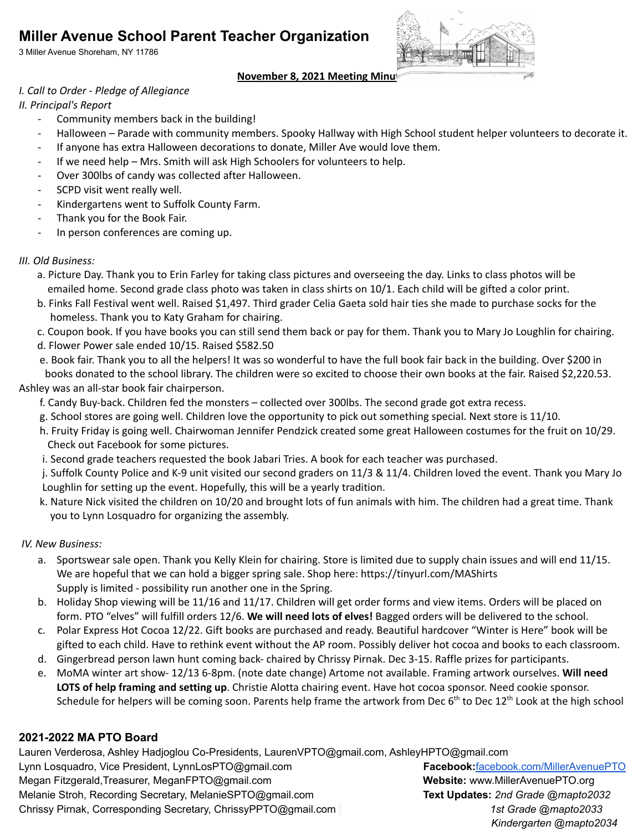# **Miller Avenue School Parent Teacher Organization**

3 Miller Avenue Shoreham, NY 11786



## **November 8, 2021 Meeting Minutes**

### *I. Call to Order - Pledge of Allegiance*

*II. Principal's Report*

- Community members back in the building!
- Halloween Parade with community members. Spooky Hallway with High School student helper volunteers to decorate it.
- If anyone has extra Halloween decorations to donate, Miller Ave would love them.
- If we need help Mrs. Smith will ask High Schoolers for volunteers to help.
- Over 300lbs of candy was collected after Halloween.
- SCPD visit went really well.
- Kindergartens went to Suffolk County Farm.
- Thank you for the Book Fair.
- In person conferences are coming up.

## *III. Old Business:*

- a. Picture Day. Thank you to Erin Farley for taking class pictures and overseeing the day. Links to class photos will be emailed home. Second grade class photo was taken in class shirts on 10/1. Each child will be gifted a color print.
- b. Finks Fall Festival went well. Raised \$1,497. Third grader Celia Gaeta sold hair ties she made to purchase socks for the homeless. Thank you to Katy Graham for chairing.
- c. Coupon book. If you have books you can still send them back or pay for them. Thank you to Mary Jo Loughlin for chairing.
- d. Flower Power sale ended 10/15. Raised \$582.50
- e. Book fair. Thank you to all the helpers! It was so wonderful to have the full book fair back in the building. Over \$200 in books donated to the school library. The children were so excited to choose their own books at the fair. Raised \$2,220.53.

## Ashley was an all-star book fair chairperson.

- f. Candy Buy-back. Children fed the monsters collected over 300lbs. The second grade got extra recess.
- g. School stores are going well. Children love the opportunity to pick out something special. Next store is 11/10.
- h. Fruity Friday is going well. Chairwoman Jennifer Pendzick created some great Halloween costumes for the fruit on 10/29. Check out Facebook for some pictures.
- i. Second grade teachers requested the book Jabari Tries. A book for each teacher was purchased.
- j. Suffolk County Police and K-9 unit visited our second graders on 11/3 & 11/4. Children loved the event. Thank you Mary Jo Loughlin for setting up the event. Hopefully, this will be a yearly tradition.
- k. Nature Nick visited the children on 10/20 and brought lots of fun animals with him. The children had a great time. Thank you to Lynn Losquadro for organizing the assembly.

# *IV. New Business:*

- a. Sportswear sale open. Thank you Kelly Klein for chairing. Store is limited due to supply chain issues and will end 11/15. We are hopeful that we can hold a bigger spring sale. Shop here: <https://tinyurl.com/MAShirts> Supply is limited - possibility run another one in the Spring.
- b. Holiday Shop viewing will be 11/16 and 11/17. Children will get order forms and view items. Orders will be placed on form. PTO "elves" will fulfill orders 12/6. **We will need lots of elves!** Bagged orders will be delivered to the school.
- c. Polar Express Hot Cocoa 12/22. Gift books are purchased and ready. Beautiful hardcover "Winter is Here" book will be gifted to each child. Have to rethink event without the AP room. Possibly deliver hot cocoa and books to each classroom.
- d. Gingerbread person lawn hunt coming back- chaired by Chrissy Pirnak. Dec 3-15. Raffle prizes for participants.
- e. MoMA winter art show- 12/13 6-8pm. (note date change) Artome not available. Framing artwork ourselves. **Will need LOTS of help framing and setting up**. Christie Alotta chairing event. Have hot cocoa sponsor. Need cookie sponsor. Schedule for helpers will be coming soon. Parents help frame the artwork from Dec 6<sup>th</sup> to Dec 12<sup>th</sup> Look at the high school

# **2021-2022 MA PTO Board**

Lauren Verderosa, Ashley Hadjoglou Co-Presidents, LaurenVPTO@gmail.com, AshleyHPTO@gmail.com Lynn Losquadro, Vice President, LynnLosPTO@gmail.com **Facebook:**[facebook.com/MillerAvenuePTO](http://www.facebook.com/MillerAvenuePTO) Megan Fitzgerald,Treasurer, MeganFPTO@gmail.com **Website:** www.MillerAvenuePTO.org Melanie Stroh, Recording Secretary, MelanieSPTO@gmail.com **Text Updates:** *2nd Grade @mapto2032* Chrissy Pirnak, Corresponding Secretary, ChrissyPPTO@gmail.com *1st Grade @mapto2033 Kindergarten @mapto2034*